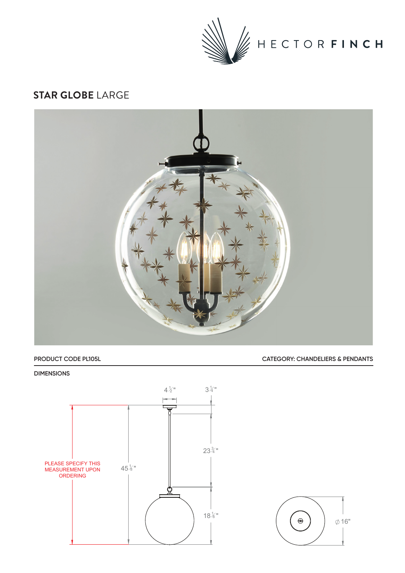

## **STAR GLOBE** LARGE



### **PRODUCT CODE PL105L CATEGORY: CHANDELIERS & PENDANTS**

#### **DIMENSIONS**